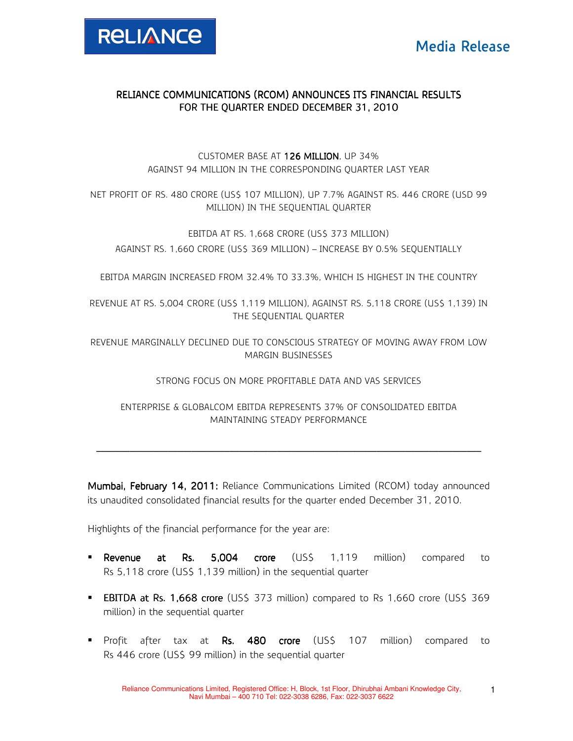

## RELIANCE COMMUNICATIONS (RCOM) ANNOUNCES ITS FINANCIAL RESULTS FOR THE QUARTER ENDED DECEMBER 31, 2010

CUSTOMER BASE AT 126 MILLION. UP 34% AGAINST 94 MILLION IN THE CORRESPONDING QUARTER LAST YEAR

NET PROFIT OF RS. 480 CRORE (US\$ 107 MILLION), UP 7.7% AGAINST RS. 446 CRORE (USD 99 MILLION) IN THE SEQUENTIAL QUARTER

EBITDA AT RS. 1,668 CRORE (US\$ 373 MILLION) AGAINST RS. 1,660 CRORE (US\$ 369 MILLION) – INCREASE BY 0.5% SEQUENTIALLY

EBITDA MARGIN INCREASED FROM 32.4% TO 33.3%, WHICH IS HIGHEST IN THE COUNTRY

REVENUE AT RS. 5,004 CRORE (US\$ 1,119 MILLION), AGAINST RS. 5,118 CRORE (US\$ 1,139) IN THE SEQUENTIAL QUARTER

REVENUE MARGINALLY DECLINED DUE TO CONSCIOUS STRATEGY OF MOVING AWAY FROM LOW MARGIN BUSINESSES

STRONG FOCUS ON MORE PROFITABLE DATA AND VAS SERVICES

ENTERPRISE & GLOBALCOM EBITDA REPRESENTS 37% OF CONSOLIDATED EBITDA MAINTAINING STEADY PERFORMANCE

\_\_\_\_\_\_\_\_\_\_\_\_\_\_\_\_\_\_\_\_\_\_\_\_\_\_\_\_\_\_\_ \_\_\_\_\_\_\_\_\_\_\_\_\_\_\_\_\_\_\_\_\_\_\_\_\_\_\_\_\_\_\_\_\_\_\_\_\_\_\_\_\_\_\_\_\_\_\_\_\_\_\_\_\_\_\_\_\_\_\_\_ \_\_\_\_\_\_\_\_\_\_\_\_\_\_\_\_\_\_\_\_\_\_\_\_\_\_\_\_\_\_\_\_\_\_\_\_\_\_\_\_\_\_\_\_\_\_\_\_\_\_\_\_\_\_\_\_\_\_\_\_\_\_\_\_\_\_\_\_\_ \_\_\_\_\_\_\_\_\_\_\_ \_\_\_\_\_\_\_\_\_\_\_\_\_\_\_\_\_\_\_\_\_ \_\_\_\_\_\_\_\_\_\_\_\_\_\_\_\_\_\_\_\_

Mumbai, February 14, 2011: Reliance Communications Limited (RCOM) today announced its unaudited consolidated financial results for the quarter ended December 31, 2010.

Highlights of the financial performance for the year are:

- Revenue at Rs. 5,004 crore (US\$ 1,119 million) compared to Rs 5,118 crore (US\$ 1,139 million) in the sequential quarter
- **EBITDA at Rs. 1,668 crore** (US\$ 373 million) compared to Rs 1,660 crore (US\$ 369 million) in the sequential quarter
- **Profit after tax at Rs. 480 crore (US\$ 107 million) compared to resear to** Rs 446 crore (US\$ 99 million) in the sequential quarter

1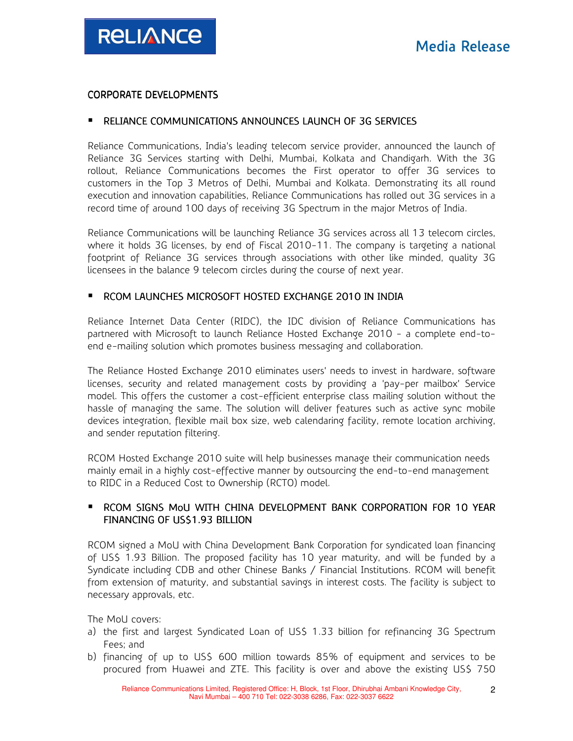#### CORPORATE DEVELOPMENTS

## **RELIANCE COMMUNICATIONS ANNOUNCES LAUNCH OF 3G SERVICES**

Reliance Communications, India's leading telecom service provider, announced the launch of Reliance 3G Services starting with Delhi, Mumbai, Kolkata and Chandigarh. With the 3G rollout, Reliance Communications becomes the First operator to offer 3G services to customers in the Top 3 Metros of Delhi, Mumbai and Kolkata. Demonstrating its all round execution and innovation capabilities, Reliance Communications has rolled out 3G services in a record time of around 100 days of receiving 3G Spectrum in the major Metros of India.

Reliance Communications will be launching Reliance 3G services across all 13 telecom circles, where it holds 3G licenses, by end of Fiscal 2010-11. The company is targeting a national footprint of Reliance 3G services through associations with other like minded, quality 3G licensees in the balance 9 telecom circles during the course of next year.

### **RCOM LAUNCHES MICROSOFT HOSTED EXCHANGE 2010 IN INDIA**

Reliance Internet Data Center (RIDC), the IDC division of Reliance Communications has partnered with Microsoft to launch Reliance Hosted Exchange 2010 - a complete end-toend e-mailing solution which promotes business messaging and collaboration.

The Reliance Hosted Exchange 2010 eliminates users' needs to invest in hardware, software licenses, security and related management costs by providing a 'pay-per mailbox' Service model. This offers the customer a cost-efficient enterprise class mailing solution without the hassle of managing the same. The solution will deliver features such as active sync mobile devices integration, flexible mail box size, web calendaring facility, remote location archiving, and sender reputation filtering.

RCOM Hosted Exchange 2010 suite will help businesses manage their communication needs mainly email in a highly cost-effective manner by outsourcing the end-to-end management to RIDC in a Reduced Cost to Ownership (RCTO) model.

## **RCOM SIGNS MOU WITH CHINA DEVELOPMENT BANK CORPORATION FOR 10 YEAR** FINANCING OF US\$1.93 BILLION

RCOM signed a MoU with China Development Bank Corporation for syndicated loan financing of US\$ 1.93 Billion. The proposed facility has 10 year maturity, and will be funded by a Syndicate including CDB and other Chinese Banks / Financial Institutions. RCOM will benefit from extension of maturity, and substantial savings in interest costs. The facility is subject to necessary approvals, etc.

The MoU covers:

- a) the first and largest Syndicated Loan of US\$ 1.33 billion for refinancing 3G Spectrum Fees; and
- b) financing of up to US\$ 600 million towards 85% of equipment and services to be procured from Huawei and ZTE. This facility is over and above the existing US\$ 750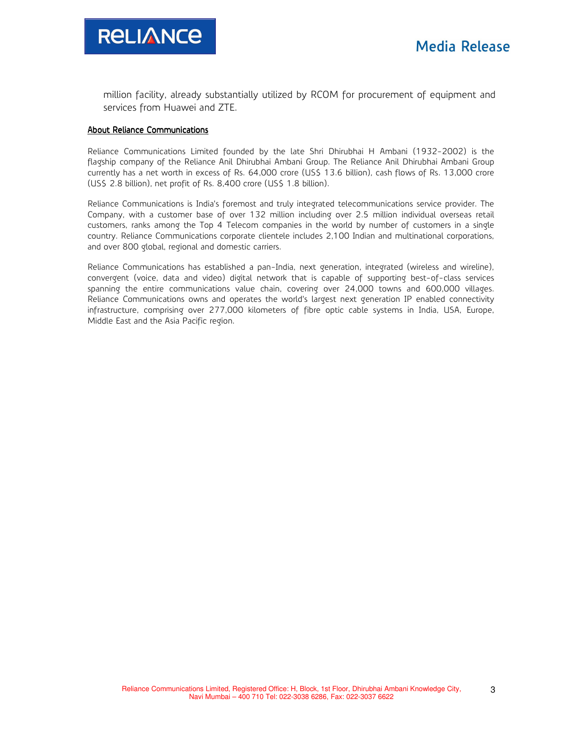

million facility, already substantially utilized by RCOM for procurement of equipment and services from Huawei and ZTE.

#### About Reliance Communications

Reliance Communications Limited founded by the late Shri Dhirubhai H Ambani (1932-2002) is the flagship company of the Reliance Anil Dhirubhai Ambani Group. The Reliance Anil Dhirubhai Ambani Group currently has a net worth in excess of Rs. 64,000 crore (US\$ 13.6 billion), cash flows of Rs. 13,000 crore (US\$ 2.8 billion), net profit of Rs. 8,400 crore (US\$ 1.8 billion).

Reliance Communications is India's foremost and truly integrated telecommunications service provider. The Company, with a customer base of over 132 million including over 2.5 million individual overseas retail customers, ranks among the Top 4 Telecom companies in the world by number of customers in a single country. Reliance Communications corporate clientele includes 2,100 Indian and multinational corporations, and over 800 global, regional and domestic carriers.

Reliance Communications has established a pan-India, next generation, integrated (wireless and wireline), convergent (voice, data and video) digital network that is capable of supporting best-of-class services spanning the entire communications value chain, covering over 24,000 towns and 600,000 villages. Reliance Communications owns and operates the world's largest next generation IP enabled connectivity infrastructure, comprising over 277,000 kilometers of fibre optic cable systems in India, USA, Europe, Middle East and the Asia Pacific region.

3